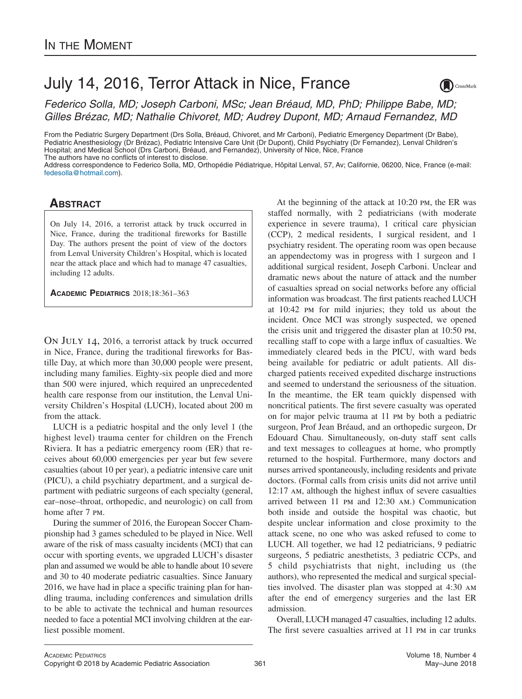## July 14, 2016, Terror Attack in Nice, France

*Federico Solla, MD; Joseph Carboni, MSc; Jean Bréaud, MD, PhD; Philippe Babe, [MD;](http://crossmark.crossref.org/dialog/?doi=10.1016/j.acap.2018.01.004&domain=pdf) Gilles Brézac, MD; Nathalie Chivoret, MD; Audrey Dupont, MD; Arnaud Fernandez, MD*

From the Pediatric Surgery Department (Drs Solla, Bréaud, Chivoret, and Mr Carboni), Pediatric Emergency Department (Dr Babe), Pediatric Anesthesiology (Dr Brézac), Pediatric Intensive Care Unit (Dr Dupont), Child Psychiatry (Dr Fernandez), Lenval Children's Hospital; and Medical School (Drs Carboni, Bréaud, and Fernandez), University of Nice, Nice, France The authors have no conflicts of interest to disclose.

Address correspondence to Federico Solla, MD, Orthopédie Pédiatrique, Hôpital Lenval, 57, Av; Californie, 06200, Nice, France (e-mail: [fedesolla@hotmail.com\)](mailto:fedesolla@hotmail.com).

## **ABSTRACT**

On July 14, 2016, a terrorist attack by truck occurred in Nice, France, during the traditional fireworks for Bastille Day. The authors present the point of view of the doctors from Lenval University Children's Hospital, which is located near the attack place and which had to manage 47 casualties, including 12 adults.

**ACADEMIC PEDIATRICS** 2018;18:361–363

On July 14, 2016, a terrorist attack by truck occurred in Nice, France, during the traditional fireworks for Bastille Day, at which more than 30,000 people were present, including many families. Eighty-six people died and more than 500 were injured, which required an unprecedented health care response from our institution, the Lenval University Children's Hospital (LUCH), located about 200 m from the attack.

LUCH is a pediatric hospital and the only level 1 (the highest level) trauma center for children on the French Riviera. It has a pediatric emergency room (ER) that receives about 60,000 emergencies per year but few severe casualties (about 10 per year), a pediatric intensive care unit (PICU), a child psychiatry department, and a surgical department with pediatric surgeons of each specialty (general, ear–nose–throat, orthopedic, and neurologic) on call from home after 7 pm.

During the summer of 2016, the European Soccer Championship had 3 games scheduled to be played in Nice. Well aware of the risk of mass casualty incidents (MCI) that can occur with sporting events, we upgraded LUCH's disaster plan and assumed we would be able to handle about 10 severe and 30 to 40 moderate pediatric casualties. Since January 2016, we have had in place a specific training plan for handling trauma, including conferences and simulation drills to be able to activate the technical and human resources needed to face a potential MCI involving children at the earliest possible moment.

At the beginning of the attack at 10:20 pm, the ER was staffed normally, with 2 pediatricians (with moderate experience in severe trauma), 1 critical care physician (CCP), 2 medical residents, 1 surgical resident, and 1 psychiatry resident. The operating room was open because an appendectomy was in progress with 1 surgeon and 1 additional surgical resident, Joseph Carboni. Unclear and dramatic news about the nature of attack and the number of casualties spread on social networks before any official information was broadcast. The first patients reached LUCH at 10:42 pm for mild injuries; they told us about the incident. Once MCI was strongly suspected, we opened the crisis unit and triggered the disaster plan at 10:50 pm, recalling staff to cope with a large influx of casualties. We immediately cleared beds in the PICU, with ward beds being available for pediatric or adult patients. All discharged patients received expedited discharge instructions and seemed to understand the seriousness of the situation. In the meantime, the ER team quickly dispensed with noncritical patients. The first severe casualty was operated on for major pelvic trauma at 11 pm by both a pediatric surgeon, Prof Jean Bréaud, and an orthopedic surgeon, Dr Edouard Chau. Simultaneously, on-duty staff sent calls and text messages to colleagues at home, who promptly returned to the hospital. Furthermore, many doctors and nurses arrived spontaneously, including residents and private doctors. (Formal calls from crisis units did not arrive until 12:17 am, although the highest influx of severe casualties arrived between 11 pm and 12:30 am.) Communication both inside and outside the hospital was chaotic, but despite unclear information and close proximity to the attack scene, no one who was asked refused to come to LUCH. All together, we had 12 pediatricians, 9 pediatric surgeons, 5 pediatric anesthetists, 3 pediatric CCPs, and 5 child psychiatrists that night, including us (the authors), who represented the medical and surgical specialties involved. The disaster plan was stopped at 4:30 am after the end of emergency surgeries and the last ER admission.

Overall, LUCH managed 47 casualties, including 12 adults. The first severe casualties arrived at 11 pm in car trunks

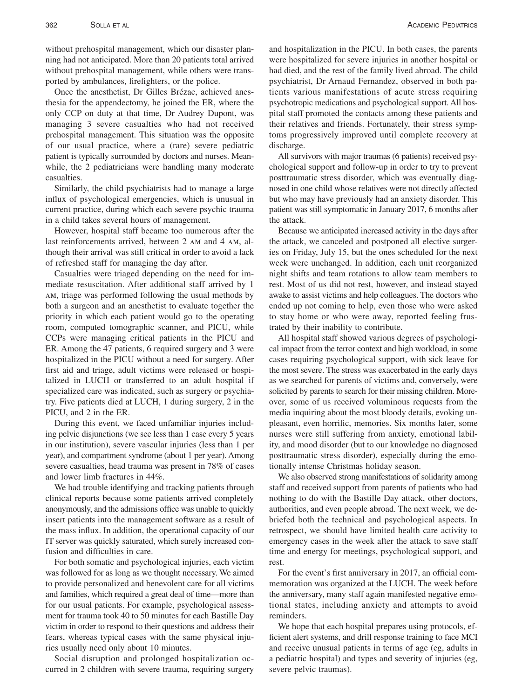without prehospital management, which our disaster planning had not anticipated. More than 20 patients total arrived without prehospital management, while others were transported by ambulances, firefighters, or the police.

Once the anesthetist, Dr Gilles Brézac, achieved anesthesia for the appendectomy, he joined the ER, where the only CCP on duty at that time, Dr Audrey Dupont, was managing 3 severe casualties who had not received prehospital management. This situation was the opposite of our usual practice, where a (rare) severe pediatric patient is typically surrounded by doctors and nurses. Meanwhile, the 2 pediatricians were handling many moderate casualties.

Similarly, the child psychiatrists had to manage a large influx of psychological emergencies, which is unusual in current practice, during which each severe psychic trauma in a child takes several hours of management.

However, hospital staff became too numerous after the last reinforcements arrived, between 2 am and 4 am, although their arrival was still critical in order to avoid a lack of refreshed staff for managing the day after.

Casualties were triaged depending on the need for immediate resuscitation. After additional staff arrived by 1 am, triage was performed following the usual methods by both a surgeon and an anesthetist to evaluate together the priority in which each patient would go to the operating room, computed tomographic scanner, and PICU, while CCPs were managing critical patients in the PICU and ER. Among the 47 patients, 6 required surgery and 3 were hospitalized in the PICU without a need for surgery. After first aid and triage, adult victims were released or hospitalized in LUCH or transferred to an adult hospital if specialized care was indicated, such as surgery or psychiatry. Five patients died at LUCH, 1 during surgery, 2 in the PICU, and 2 in the ER.

During this event, we faced unfamiliar injuries including pelvic disjunctions (we see less than 1 case every 5 years in our institution), severe vascular injuries (less than 1 per year), and compartment syndrome (about 1 per year). Among severe casualties, head trauma was present in 78% of cases and lower limb fractures in 44%.

We had trouble identifying and tracking patients through clinical reports because some patients arrived completely anonymously, and the admissions office was unable to quickly insert patients into the management software as a result of the mass influx. In addition, the operational capacity of our IT server was quickly saturated, which surely increased confusion and difficulties in care.

For both somatic and psychological injuries, each victim was followed for as long as we thought necessary. We aimed to provide personalized and benevolent care for all victims and families, which required a great deal of time—more than for our usual patients. For example, psychological assessment for trauma took 40 to 50 minutes for each Bastille Day victim in order to respond to their questions and address their fears, whereas typical cases with the same physical injuries usually need only about 10 minutes.

Social disruption and prolonged hospitalization occurred in 2 children with severe trauma, requiring surgery tients various manifestations of acute stress requiring psychotropic medications and psychological support. All hospital staff promoted the contacts among these patients and their relatives and friends. Fortunately, their stress symptoms progressively improved until complete recovery at discharge.

All survivors with major traumas (6 patients) received psychological support and follow-up in order to try to prevent posttraumatic stress disorder, which was eventually diagnosed in one child whose relatives were not directly affected but who may have previously had an anxiety disorder. This patient was still symptomatic in January 2017, 6 months after the attack.

Because we anticipated increased activity in the days after the attack, we canceled and postponed all elective surgeries on Friday, July 15, but the ones scheduled for the next week were unchanged. In addition, each unit reorganized night shifts and team rotations to allow team members to rest. Most of us did not rest, however, and instead stayed awake to assist victims and help colleagues. The doctors who ended up not coming to help, even those who were asked to stay home or who were away, reported feeling frustrated by their inability to contribute.

All hospital staff showed various degrees of psychological impact from the terror context and high workload, in some cases requiring psychological support, with sick leave for the most severe. The stress was exacerbated in the early days as we searched for parents of victims and, conversely, were solicited by parents to search for their missing children. Moreover, some of us received voluminous requests from the media inquiring about the most bloody details, evoking unpleasant, even horrific, memories. Six months later, some nurses were still suffering from anxiety, emotional lability, and mood disorder (but to our knowledge no diagnosed posttraumatic stress disorder), especially during the emotionally intense Christmas holiday season.

We also observed strong manifestations of solidarity among staff and received support from parents of patients who had nothing to do with the Bastille Day attack, other doctors, authorities, and even people abroad. The next week, we debriefed both the technical and psychological aspects. In retrospect, we should have limited health care activity to emergency cases in the week after the attack to save staff time and energy for meetings, psychological support, and rest.

For the event's first anniversary in 2017, an official commemoration was organized at the LUCH. The week before the anniversary, many staff again manifested negative emotional states, including anxiety and attempts to avoid reminders.

We hope that each hospital prepares using protocols, efficient alert systems, and drill response training to face MCI and receive unusual patients in terms of age (eg, adults in a pediatric hospital) and types and severity of injuries (eg, severe pelvic traumas).